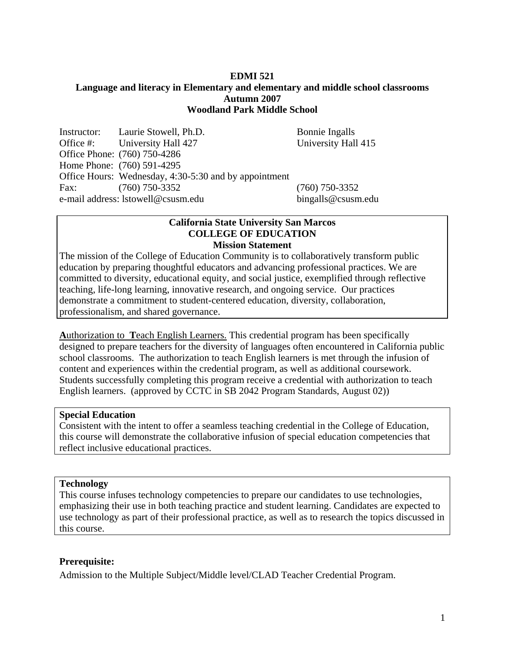#### **EDMI 521 Language and literacy in Elementary and elementary and middle school classrooms Autumn 2007 Woodland Park Middle School**

Instructor: Laurie Stowell, Ph.D. Bonnie Ingalls Office #: University Hall 427 University Hall 415 Office Phone: (760) 750-4286 Home Phone: (760) 591-4295 Office Hours: Wednesday, 4:30-5:30 and by appointment Fax: (760) 750-3352 (760) 750-3352 e-mail address: lstowell@csusm.edu bingalls@csusm.edu

#### **California State University San Marcos COLLEGE OF EDUCATION Mission Statement**

The mission of the College of Education Community is to collaboratively transform public education by preparing thoughtful educators and advancing professional practices. We are committed to diversity, educational equity, and social justice, exemplified through reflective teaching, life-long learning, innovative research, and ongoing service. Our practices demonstrate a commitment to student-centered education, diversity, collaboration, professionalism, and shared governance.

**A**uthorization to **T**each English Learners. This credential program has been specifically designed to prepare teachers for the diversity of languages often encountered in California public school classrooms. The authorization to teach English learners is met through the infusion of content and experiences within the credential program, as well as additional coursework. Students successfully completing this program receive a credential with authorization to teach English learners. (approved by CCTC in SB 2042 Program Standards, August 02))

### **Special Education**

Consistent with the intent to offer a seamless teaching credential in the College of Education, this course will demonstrate the collaborative infusion of special education competencies that reflect inclusive educational practices.

#### **Technology**

This course infuses technology competencies to prepare our candidates to use technologies, emphasizing their use in both teaching practice and student learning. Candidates are expected to use technology as part of their professional practice, as well as to research the topics discussed in this course.

#### **Prerequisite:**

Admission to the Multiple Subject/Middle level/CLAD Teacher Credential Program.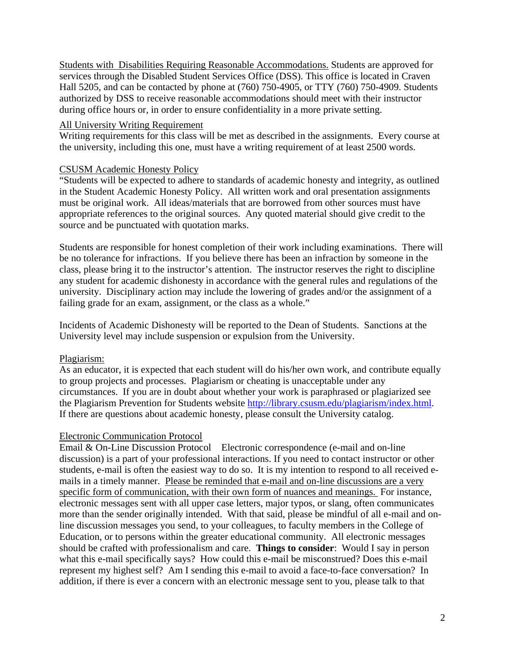Students with Disabilities Requiring Reasonable Accommodations. Students are approved for services through the Disabled Student Services Office (DSS). This office is located in Craven Hall 5205, and can be contacted by phone at (760) 750-4905, or TTY (760) 750-4909. Students authorized by DSS to receive reasonable accommodations should meet with their instructor during office hours or, in order to ensure confidentiality in a more private setting.

### All University Writing Requirement

Writing requirements for this class will be met as described in the assignments. Every course at the university, including this one, must have a writing requirement of at least 2500 words.

## CSUSM Academic Honesty Policy

"Students will be expected to adhere to standards of academic honesty and integrity, as outlined in the Student Academic Honesty Policy. All written work and oral presentation assignments must be original work. All ideas/materials that are borrowed from other sources must have appropriate references to the original sources. Any quoted material should give credit to the source and be punctuated with quotation marks.

Students are responsible for honest completion of their work including examinations. There will be no tolerance for infractions. If you believe there has been an infraction by someone in the class, please bring it to the instructor's attention. The instructor reserves the right to discipline any student for academic dishonesty in accordance with the general rules and regulations of the university. Disciplinary action may include the lowering of grades and/or the assignment of a failing grade for an exam, assignment, or the class as a whole."

Incidents of Academic Dishonesty will be reported to the Dean of Students. Sanctions at the University level may include suspension or expulsion from the University.

### Plagiarism:

As an educator, it is expected that each student will do his/her own work, and contribute equally to group projects and processes. Plagiarism or cheating is unacceptable under any circumstances. If you are in doubt about whether your work is paraphrased or plagiarized see the Plagiarism Prevention for Students website http://library.csusm.edu/plagiarism/index.html. If there are questions about academic honesty, please consult the University catalog.

### Electronic Communication Protocol

Email & On-Line Discussion Protocol Electronic correspondence (e-mail and on-line discussion) is a part of your professional interactions. If you need to contact instructor or other students, e-mail is often the easiest way to do so. It is my intention to respond to all received emails in a timely manner. Please be reminded that e-mail and on-line discussions are a very specific form of communication, with their own form of nuances and meanings. For instance, electronic messages sent with all upper case letters, major typos, or slang, often communicates more than the sender originally intended. With that said, please be mindful of all e-mail and online discussion messages you send, to your colleagues, to faculty members in the College of Education, or to persons within the greater educational community. All electronic messages should be crafted with professionalism and care. **Things to consider**: Would I say in person what this e-mail specifically says? How could this e-mail be misconstrued? Does this e-mail represent my highest self? Am I sending this e-mail to avoid a face-to-face conversation? In addition, if there is ever a concern with an electronic message sent to you, please talk to that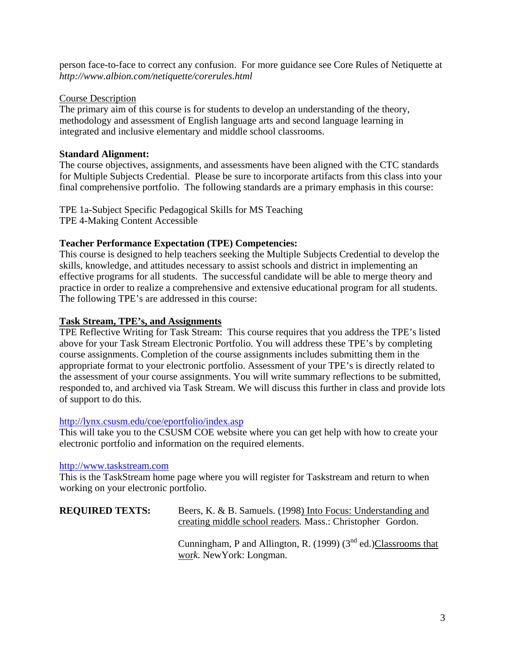person face-to-face to correct any confusion. For more guidance see Core Rules of Netiquette at *http://www.albion.com/netiquette/corerules.html* 

### Course Description

The primary aim of this course is for students to develop an understanding of the theory, methodology and assessment of English language arts and second language learning in integrated and inclusive elementary and middle school classrooms.

# **Standard Alignment:**

The course objectives, assignments, and assessments have been aligned with the CTC standards for Multiple Subjects Credential. Please be sure to incorporate artifacts from this class into your final comprehensive portfolio. The following standards are a primary emphasis in this course:

TPE 1a-Subject Specific Pedagogical Skills for MS Teaching TPE 4-Making Content Accessible

## **Teacher Performance Expectation (TPE) Competencies:**

This course is designed to help teachers seeking the Multiple Subjects Credential to develop the skills, knowledge, and attitudes necessary to assist schools and district in implementing an effective programs for all students. The successful candidate will be able to merge theory and practice in order to realize a comprehensive and extensive educational program for all students. The following TPE's are addressed in this course:

## **Task Stream, TPE's, and Assignments**

TPE Reflective Writing for Task Stream: This course requires that you address the TPE's listed above for your Task Stream Electronic Portfolio. You will address these TPE's by completing course assignments. Completion of the course assignments includes submitting them in the appropriate format to your electronic portfolio. Assessment of your TPE's is directly related to the assessment of your course assignments. You will write summary reflections to be submitted, responded to, and archived via Task Stream. We will discuss this further in class and provide lots of support to do this.

### http://lynx.csusm.edu/coe/eportfolio/index.asp

This will take you to the CSUSM COE website where you can get help with how to create your electronic portfolio and information on the required elements.

### http://www.taskstream.com

This is the TaskStream home page where you will register for Taskstream and return to when working on your electronic portfolio.

| <b>REQUIRED TEXTS:</b> | Beers, K. & B. Samuels. (1998) Into Focus: Understanding and |
|------------------------|--------------------------------------------------------------|
|                        | creating middle school readers. Mass.: Christopher Gordon.   |

Cunningham, P and Allington, R. (1999)  $(3<sup>nd</sup>$  ed.)Classrooms that wor*k.* NewYork: Longman.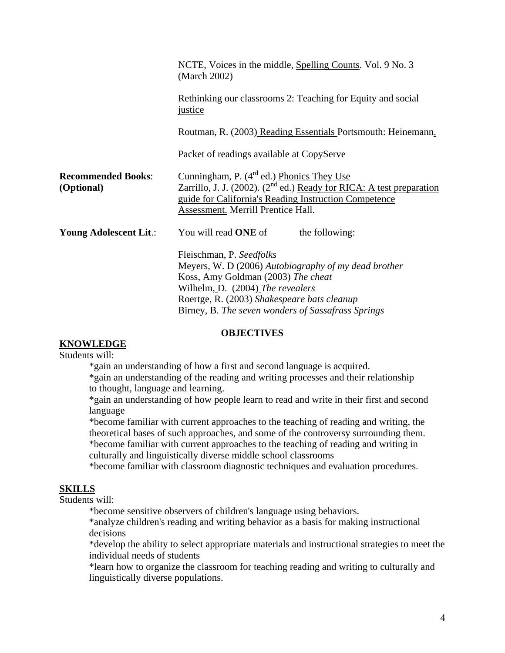|                                         | NCTE, Voices in the middle, Spelling Counts. Vol. 9 No. 3<br>(March 2002)                                                                                                                                                                                       |
|-----------------------------------------|-----------------------------------------------------------------------------------------------------------------------------------------------------------------------------------------------------------------------------------------------------------------|
|                                         | Rethinking our classrooms 2: Teaching for Equity and social<br><i>justice</i>                                                                                                                                                                                   |
|                                         | Routman, R. (2003) Reading Essentials Portsmouth: Heinemann.                                                                                                                                                                                                    |
|                                         | Packet of readings available at CopyServe                                                                                                                                                                                                                       |
| <b>Recommended Books:</b><br>(Optional) | Cunningham, P. $(4^{rd}$ ed.) Phonics They Use<br>Zarrillo, J. J. (2002). ( $2nd$ ed.) Ready for RICA: A test preparation<br>guide for California's Reading Instruction Competence<br>Assessment. Merrill Prentice Hall.                                        |
| Young Adolescent Lit.:                  | You will read <b>ONE</b> of<br>the following:                                                                                                                                                                                                                   |
|                                         | Fleischman, P. Seedfolks<br>Meyers, W. D (2006) Autobiography of my dead brother<br>Koss, Amy Goldman (2003) The cheat<br>Wilhelm, D. (2004) The revealers<br>Roertge, R. (2003) Shakespeare bats cleanup<br>Birney, B. The seven wonders of Sassafrass Springs |

#### **OBJECTIVES**

# **KNOWLEDGE**

Students will:

\*gain an understanding of how a first and second language is acquired.

 \*gain an understanding of the reading and writing processes and their relationship to thought, language and learning.

\*gain an understanding of how people learn to read and write in their first and second language

\*become familiar with current approaches to the teaching of reading and writing, the theoretical bases of such approaches, and some of the controversy surrounding them. \*become familiar with current approaches to the teaching of reading and writing in culturally and linguistically diverse middle school classrooms

\*become familiar with classroom diagnostic techniques and evaluation procedures.

# **SKILLS**

Students will:

\*become sensitive observers of children's language using behaviors.

\*analyze children's reading and writing behavior as a basis for making instructional decisions

\*develop the ability to select appropriate materials and instructional strategies to meet the individual needs of students

\*learn how to organize the classroom for teaching reading and writing to culturally and linguistically diverse populations.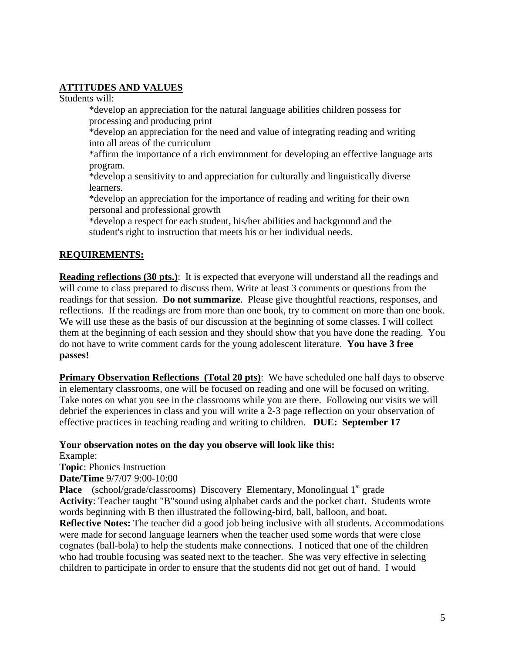# **ATTITUDES AND VALUES**

Students will:

 \*develop an appreciation for the natural language abilities children possess for processing and producing print

 \*develop an appreciation for the need and value of integrating reading and writing into all areas of the curriculum

\*affirm the importance of a rich environment for developing an effective language arts program.

 \*develop a sensitivity to and appreciation for culturally and linguistically diverse learners.

 \*develop an appreciation for the importance of reading and writing for their own personal and professional growth

 \*develop a respect for each student, his/her abilities and background and the student's right to instruction that meets his or her individual needs.

# **REQUIREMENTS:**

**Reading reflections (30 pts.)**: It is expected that everyone will understand all the readings and will come to class prepared to discuss them. Write at least 3 comments or questions from the readings for that session. **Do not summarize**. Please give thoughtful reactions, responses, and reflections. If the readings are from more than one book, try to comment on more than one book. We will use these as the basis of our discussion at the beginning of some classes. I will collect them at the beginning of each session and they should show that you have done the reading. You do not have to write comment cards for the young adolescent literature. **You have 3 free passes!**

**Primary Observation Reflections (Total 20 pts):** We have scheduled one half days to observe in elementary classrooms, one will be focused on reading and one will be focused on writing. Take notes on what you see in the classrooms while you are there. Following our visits we will debrief the experiences in class and you will write a 2-3 page reflection on your observation of effective practices in teaching reading and writing to children. **DUE: September 17** 

**Your observation notes on the day you observe will look like this:** 

Example:

**Topic**: Phonics Instruction

**Date/Time** 9/7/07 9:00-10:00

**Place** (school/grade/classrooms) Discovery Elementary, Monolingual 1<sup>st</sup> grade **Activity**: Teacher taught "B"sound using alphabet cards and the pocket chart. Students wrote words beginning with B then illustrated the following-bird, ball, balloon, and boat. **Reflective Notes:** The teacher did a good job being inclusive with all students. Accommodations were made for second language learners when the teacher used some words that were close cognates (ball-bola) to help the students make connections. I noticed that one of the children who had trouble focusing was seated next to the teacher. She was very effective in selecting children to participate in order to ensure that the students did not get out of hand. I would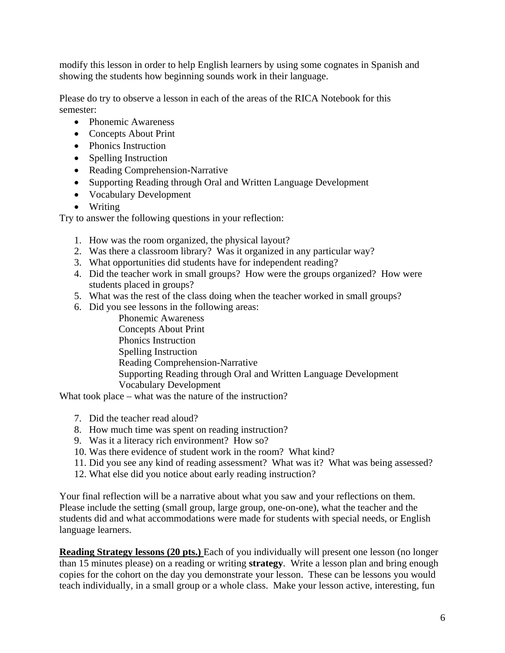modify this lesson in order to help English learners by using some cognates in Spanish and showing the students how beginning sounds work in their language.

Please do try to observe a lesson in each of the areas of the RICA Notebook for this semester:

- Phonemic Awareness
- Concepts About Print
- Phonics Instruction
- Spelling Instruction
- Reading Comprehension-Narrative
- Supporting Reading through Oral and Written Language Development
- Vocabulary Development
- Writing

Try to answer the following questions in your reflection:

- 1. How was the room organized, the physical layout?
- 2. Was there a classroom library? Was it organized in any particular way?
- 3. What opportunities did students have for independent reading?
- 4. Did the teacher work in small groups? How were the groups organized? How were students placed in groups?
- 5. What was the rest of the class doing when the teacher worked in small groups?
- 6. Did you see lessons in the following areas:

Phonemic Awareness Concepts About Print Phonics Instruction Spelling Instruction Reading Comprehension-Narrative Supporting Reading through Oral and Written Language Development Vocabulary Development

What took place – what was the nature of the instruction?

- 7. Did the teacher read aloud?
- 8. How much time was spent on reading instruction?
- 9. Was it a literacy rich environment? How so?
- 10. Was there evidence of student work in the room? What kind?
- 11. Did you see any kind of reading assessment? What was it? What was being assessed?
- 12. What else did you notice about early reading instruction?

Your final reflection will be a narrative about what you saw and your reflections on them. Please include the setting (small group, large group, one-on-one), what the teacher and the students did and what accommodations were made for students with special needs, or English language learners.

**Reading Strategy lessons (20 pts.)** Each of you individually will present one lesson (no longer than 15 minutes please) on a reading or writing **strategy**. Write a lesson plan and bring enough copies for the cohort on the day you demonstrate your lesson. These can be lessons you would teach individually, in a small group or a whole class. Make your lesson active, interesting, fun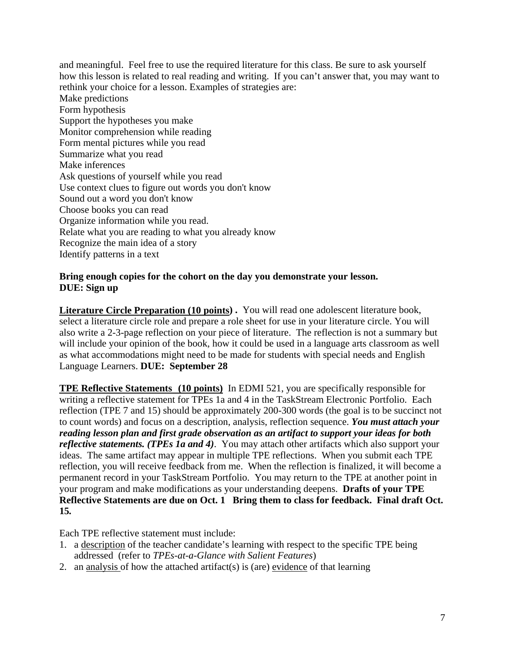and meaningful. Feel free to use the required literature for this class. Be sure to ask yourself how this lesson is related to real reading and writing. If you can't answer that, you may want to rethink your choice for a lesson. Examples of strategies are: Make predictions Form hypothesis Support the hypotheses you make Monitor comprehension while reading Form mental pictures while you read Summarize what you read Make inferences Ask questions of yourself while you read Use context clues to figure out words you don't know Sound out a word you don't know Choose books you can read Organize information while you read. Relate what you are reading to what you already know Recognize the main idea of a story Identify patterns in a text

## **Bring enough copies for the cohort on the day you demonstrate your lesson. DUE: Sign up**

**Literature Circle Preparation (10 points) .** You will read one adolescent literature book, select a literature circle role and prepare a role sheet for use in your literature circle. You will also write a 2-3-page reflection on your piece of literature. The reflection is not a summary but will include your opinion of the book, how it could be used in a language arts classroom as well as what accommodations might need to be made for students with special needs and English Language Learners. **DUE: September 28**

**TPE Reflective Statements (10 points)** In EDMI 521, you are specifically responsible for writing a reflective statement for TPEs 1a and 4 in the TaskStream Electronic Portfolio. Each reflection (TPE 7 and 15) should be approximately 200-300 words (the goal is to be succinct not to count words) and focus on a description, analysis, reflection sequence. *You must attach your reading lesson plan and first grade observation as an artifact to support your ideas for both reflective statements. (TPEs 1a and 4)*. You may attach other artifacts which also support your ideas. The same artifact may appear in multiple TPE reflections. When you submit each TPE reflection, you will receive feedback from me. When the reflection is finalized, it will become a permanent record in your TaskStream Portfolio. You may return to the TPE at another point in your program and make modifications as your understanding deepens. **Drafts of your TPE Reflective Statements are due on Oct. 1 Bring them to class for feedback. Final draft Oct. 15***.* 

Each TPE reflective statement must include:

- 1. a description of the teacher candidate's learning with respect to the specific TPE being addressed (refer to *TPEs-at-a-Glance with Salient Features*)
- 2. an analysis of how the attached artifact(s) is (are) evidence of that learning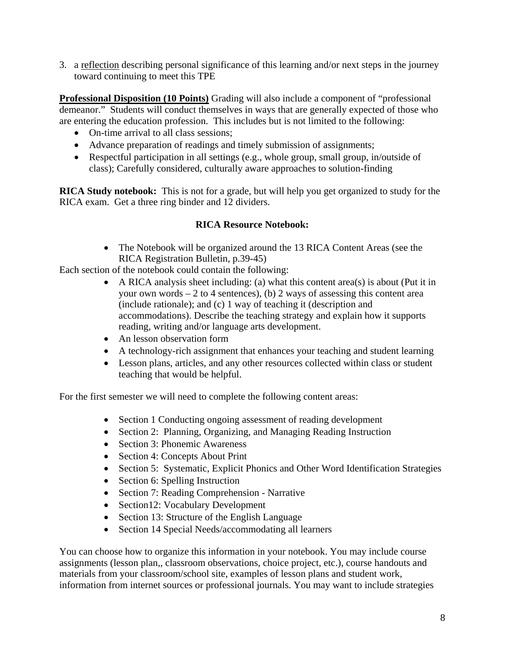3. a reflection describing personal significance of this learning and/or next steps in the journey toward continuing to meet this TPE

**Professional Disposition (10 Points)** Grading will also include a component of "professional demeanor." Students will conduct themselves in ways that are generally expected of those who are entering the education profession. This includes but is not limited to the following:

- On-time arrival to all class sessions:
- Advance preparation of readings and timely submission of assignments;
- Respectful participation in all settings (e.g., whole group, small group, in/outside of class); Carefully considered, culturally aware approaches to solution-finding

**RICA Study notebook:** This is not for a grade, but will help you get organized to study for the RICA exam. Get a three ring binder and 12 dividers.

# **RICA Resource Notebook:**

• The Notebook will be organized around the 13 RICA Content Areas (see the RICA Registration Bulletin, p.39-45)

Each section of the notebook could contain the following:

- A RICA analysis sheet including: (a) what this content area(s) is about (Put it in your own words  $-2$  to 4 sentences), (b) 2 ways of assessing this content area (include rationale); and (c) 1 way of teaching it (description and accommodations). Describe the teaching strategy and explain how it supports reading, writing and/or language arts development.
- An lesson observation form
- A technology-rich assignment that enhances your teaching and student learning
- Lesson plans, articles, and any other resources collected within class or student teaching that would be helpful.

For the first semester we will need to complete the following content areas:

- Section 1 Conducting ongoing assessment of reading development
- Section 2: Planning, Organizing, and Managing Reading Instruction
- Section 3: Phonemic Awareness
- Section 4: Concepts About Print
- Section 5: Systematic, Explicit Phonics and Other Word Identification Strategies
- Section 6: Spelling Instruction
- Section 7: Reading Comprehension Narrative
- Section12: Vocabulary Development
- Section 13: Structure of the English Language
- Section 14 Special Needs/accommodating all learners

You can choose how to organize this information in your notebook. You may include course assignments (lesson plan,, classroom observations, choice project, etc.), course handouts and materials from your classroom/school site, examples of lesson plans and student work, information from internet sources or professional journals. You may want to include strategies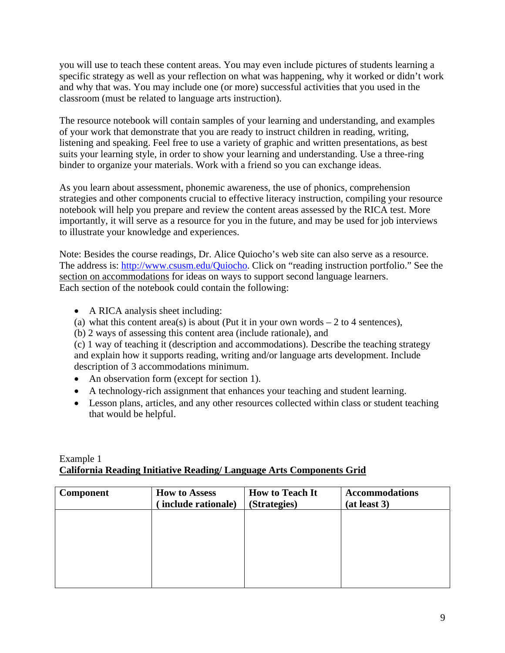you will use to teach these content areas. You may even include pictures of students learning a specific strategy as well as your reflection on what was happening, why it worked or didn't work and why that was. You may include one (or more) successful activities that you used in the classroom (must be related to language arts instruction).

The resource notebook will contain samples of your learning and understanding, and examples of your work that demonstrate that you are ready to instruct children in reading, writing, listening and speaking. Feel free to use a variety of graphic and written presentations, as best suits your learning style, in order to show your learning and understanding. Use a three-ring binder to organize your materials. Work with a friend so you can exchange ideas.

As you learn about assessment, phonemic awareness, the use of phonics, comprehension strategies and other components crucial to effective literacy instruction, compiling your resource notebook will help you prepare and review the content areas assessed by the RICA test. More importantly, it will serve as a resource for you in the future, and may be used for job interviews to illustrate your knowledge and experiences.

Note: Besides the course readings, Dr. Alice Quiocho's web site can also serve as a resource. The address is: http://www.csusm.edu/Quiocho. Click on "reading instruction portfolio." See the section on accommodations for ideas on ways to support second language learners. Each section of the notebook could contain the following:

- A RICA analysis sheet including:
- (a) what this content area(s) is about (Put it in your own words  $-2$  to 4 sentences),
- (b) 2 ways of assessing this content area (include rationale), and

(c) 1 way of teaching it (description and accommodations). Describe the teaching strategy and explain how it supports reading, writing and/or language arts development. Include description of 3 accommodations minimum.

- An observation form (except for section 1).
- A technology-rich assignment that enhances your teaching and student learning.
- Lesson plans, articles, and any other resources collected within class or student teaching that would be helpful.

### Example 1 **California Reading Initiative Reading/ Language Arts Components Grid**

| <b>Component</b> | <b>How to Assess</b><br>include rationale) | <b>How to Teach It</b><br>(Strategies) | <b>Accommodations</b><br>(at least 3) |
|------------------|--------------------------------------------|----------------------------------------|---------------------------------------|
|                  |                                            |                                        |                                       |
|                  |                                            |                                        |                                       |
|                  |                                            |                                        |                                       |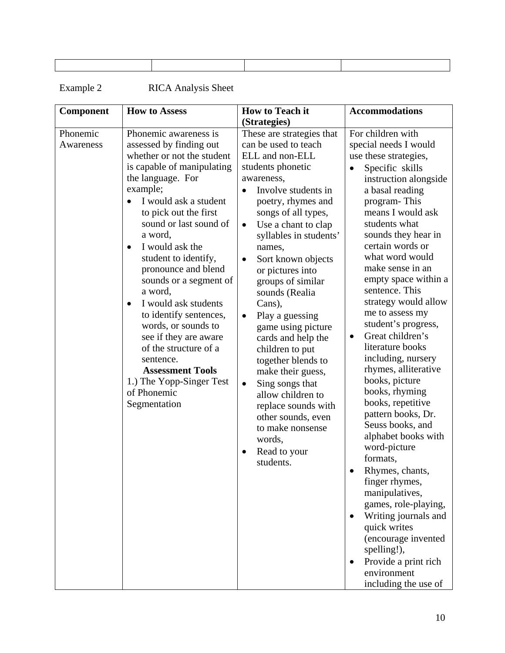| <b>Component</b>      | <b>How to Assess</b>                                                                                                                                                                                                                                                                                                                                                                                                                                                                                                                                                                   | <b>How to Teach it</b>                                                                                                                                                                                                                                                                                                                                                                                                                                                                                                                                                                                                                                                                          | <b>Accommodations</b>                                                                                                                                                                                                                                                                                                                                                                                                                                                                                                                                                                                                                                                                                                                                                                                                                                                                    |
|-----------------------|----------------------------------------------------------------------------------------------------------------------------------------------------------------------------------------------------------------------------------------------------------------------------------------------------------------------------------------------------------------------------------------------------------------------------------------------------------------------------------------------------------------------------------------------------------------------------------------|-------------------------------------------------------------------------------------------------------------------------------------------------------------------------------------------------------------------------------------------------------------------------------------------------------------------------------------------------------------------------------------------------------------------------------------------------------------------------------------------------------------------------------------------------------------------------------------------------------------------------------------------------------------------------------------------------|------------------------------------------------------------------------------------------------------------------------------------------------------------------------------------------------------------------------------------------------------------------------------------------------------------------------------------------------------------------------------------------------------------------------------------------------------------------------------------------------------------------------------------------------------------------------------------------------------------------------------------------------------------------------------------------------------------------------------------------------------------------------------------------------------------------------------------------------------------------------------------------|
| Phonemic<br>Awareness | Phonemic awareness is<br>assessed by finding out<br>whether or not the student<br>is capable of manipulating<br>the language. For<br>example;<br>I would ask a student<br>to pick out the first<br>sound or last sound of<br>a word,<br>I would ask the<br>$\bullet$<br>student to identify,<br>pronounce and blend<br>sounds or a segment of<br>a word,<br>I would ask students<br>to identify sentences,<br>words, or sounds to<br>see if they are aware<br>of the structure of a<br>sentence.<br><b>Assessment Tools</b><br>1.) The Yopp-Singer Test<br>of Phonemic<br>Segmentation | (Strategies)<br>These are strategies that<br>can be used to teach<br>ELL and non-ELL<br>students phonetic<br>awareness,<br>Involve students in<br>poetry, rhymes and<br>songs of all types,<br>Use a chant to clap<br>$\bullet$<br>syllables in students'<br>names,<br>Sort known objects<br>$\bullet$<br>or pictures into<br>groups of similar<br>sounds (Realia<br>Cans),<br>Play a guessing<br>$\bullet$<br>game using picture<br>cards and help the<br>children to put<br>together blends to<br>make their guess,<br>Sing songs that<br>$\bullet$<br>allow children to<br>replace sounds with<br>other sounds, even<br>to make nonsense<br>words,<br>Read to your<br>$\bullet$<br>students. | For children with<br>special needs I would<br>use these strategies,<br>Specific skills<br>$\bullet$<br>instruction alongside<br>a basal reading<br>program-This<br>means I would ask<br>students what<br>sounds they hear in<br>certain words or<br>what word would<br>make sense in an<br>empty space within a<br>sentence. This<br>strategy would allow<br>me to assess my<br>student's progress,<br>Great children's<br>$\bullet$<br>literature books<br>including, nursery<br>rhymes, alliterative<br>books, picture<br>books, rhyming<br>books, repetitive<br>pattern books, Dr.<br>Seuss books, and<br>alphabet books with<br>word-picture<br>formats,<br>Rhymes, chants,<br>finger rhymes,<br>manipulatives,<br>games, role-playing,<br>Writing journals and<br>quick writes<br>(encourage invented<br>spelling!),<br>Provide a print rich<br>environment<br>including the use of |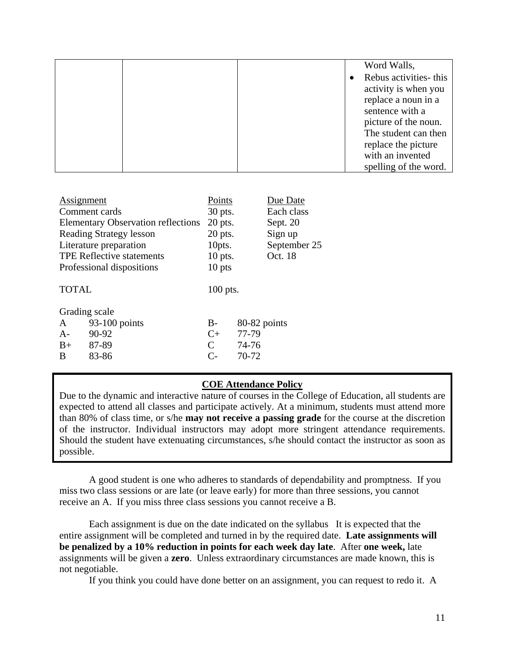|  | Word Walls,           |
|--|-----------------------|
|  | Rebus activities-this |
|  | activity is when you  |
|  | replace a noun in a   |
|  | sentence with a       |
|  | picture of the noun.  |
|  | The student can then  |
|  | replace the picture   |
|  | with an invented      |
|  | spelling of the word. |

| Assignment   |                                           | Points        |              | Due Date     |
|--------------|-------------------------------------------|---------------|--------------|--------------|
|              | Comment cards                             | 30 pts.       |              | Each class   |
|              | <b>Elementary Observation reflections</b> | $20$ pts.     |              | Sept. 20     |
|              | <b>Reading Strategy lesson</b>            | $20$ pts.     |              | Sign up      |
|              | Literature preparation                    | 10pts.        |              | September 25 |
|              | <b>TPE Reflective statements</b>          | $10$ pts.     |              | Oct. 18      |
|              | Professional dispositions                 | 10 pts        |              |              |
| <b>TOTAL</b> |                                           | $100$ pts.    |              |              |
|              | Grading scale                             |               |              |              |
| A            | 93-100 points                             | $B-$          | 80-82 points |              |
| $A-$         | 90-92                                     | $C_{+}$       | 77-79        |              |
| $B+$         | 87-89                                     | $\mathcal{C}$ | 74-76        |              |
| 83-86<br>B   |                                           | $\mathsf{C}$  | 70-72        |              |
|              |                                           |               |              |              |

### **COE Attendance Policy**

Due to the dynamic and interactive nature of courses in the College of Education, all students are expected to attend all classes and participate actively. At a minimum, students must attend more than 80% of class time, or s/he **may not receive a passing grade** for the course at the discretion of the instructor. Individual instructors may adopt more stringent attendance requirements. Should the student have extenuating circumstances, s/he should contact the instructor as soon as possible.

A good student is one who adheres to standards of dependability and promptness. If you miss two class sessions or are late (or leave early) for more than three sessions, you cannot receive an A. If you miss three class sessions you cannot receive a B.

Each assignment is due on the date indicated on the syllabus It is expected that the entire assignment will be completed and turned in by the required date. **Late assignments will be penalized by a 10% reduction in points for each week day late**. After **one week,** late assignments will be given a **zero**. Unless extraordinary circumstances are made known, this is not negotiable.

If you think you could have done better on an assignment, you can request to redo it. A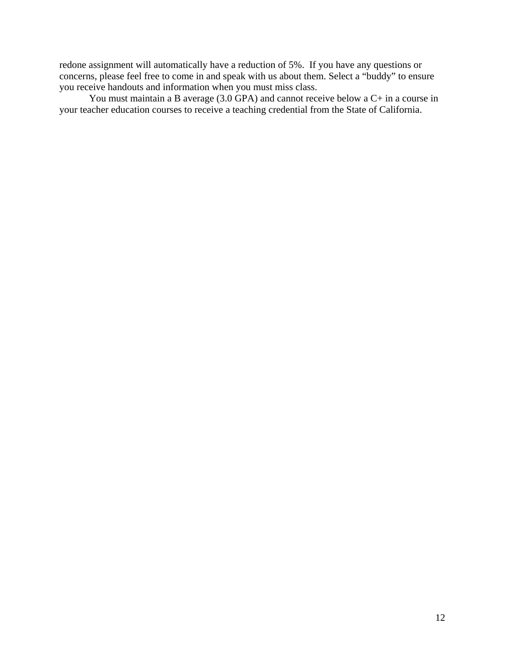redone assignment will automatically have a reduction of 5%. If you have any questions or concerns, please feel free to come in and speak with us about them. Select a "buddy" to ensure you receive handouts and information when you must miss class.

 You must maintain a B average (3.0 GPA) and cannot receive below a C+ in a course in your teacher education courses to receive a teaching credential from the State of California.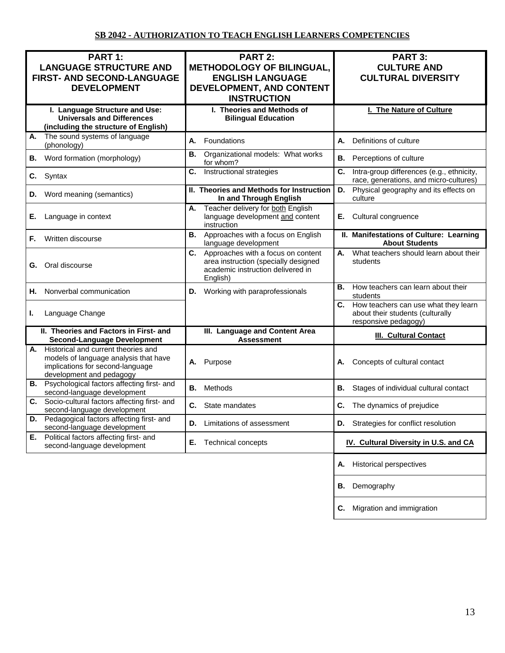| PART 1:<br><b>LANGUAGE STRUCTURE AND</b><br><b>FIRST- AND SECOND-LANGUAGE</b><br><b>DEVELOPMENT</b>                                                | <b>PART 2:</b><br><b>METHODOLOGY OF BILINGUAL,</b><br><b>ENGLISH LANGUAGE</b><br>DEVELOPMENT, AND CONTENT<br><b>INSTRUCTION</b>   | <b>PART 3:</b><br><b>CULTURE AND</b><br><b>CULTURAL DIVERSITY</b>                                      |
|----------------------------------------------------------------------------------------------------------------------------------------------------|-----------------------------------------------------------------------------------------------------------------------------------|--------------------------------------------------------------------------------------------------------|
| I. Language Structure and Use:<br><b>Universals and Differences</b><br>(including the structure of English)                                        | I. Theories and Methods of<br><b>Bilingual Education</b>                                                                          | I. The Nature of Culture                                                                               |
| The sound systems of language<br>А.<br>(phonology)                                                                                                 | Foundations<br>А.                                                                                                                 | Definitions of culture<br>А.                                                                           |
| Word formation (morphology)<br>В.                                                                                                                  | В.<br>Organizational models: What works<br>for whom?                                                                              | В.<br>Perceptions of culture                                                                           |
| C.<br>Syntax                                                                                                                                       | C.<br>Instructional strategies                                                                                                    | Intra-group differences (e.g., ethnicity,<br>C.<br>race, generations, and micro-cultures)              |
| Word meaning (semantics)<br>D.                                                                                                                     | II. Theories and Methods for Instruction<br>In and Through English                                                                | D.<br>Physical geography and its effects on<br>culture                                                 |
| Language in context<br>Е.                                                                                                                          | Teacher delivery for both English<br>А.<br>language development and content<br>instruction                                        | Cultural congruence<br>Е.                                                                              |
| Written discourse<br>F.                                                                                                                            | Approaches with a focus on English<br>В.<br>language development                                                                  | II. Manifestations of Culture: Learning<br><b>About Students</b>                                       |
| G. Oral discourse                                                                                                                                  | Approaches with a focus on content<br>C.<br>area instruction (specially designed<br>academic instruction delivered in<br>English) | What teachers should learn about their<br>А.<br>students                                               |
| Nonverbal communication<br>Н.                                                                                                                      | Working with paraprofessionals<br>D.                                                                                              | How teachers can learn about their<br>В.<br>students                                                   |
| Language Change<br>ı.                                                                                                                              |                                                                                                                                   | How teachers can use what they learn<br>C.<br>about their students (culturally<br>responsive pedagogy) |
| II. Theories and Factors in First- and<br><b>Second-Language Development</b>                                                                       | III. Language and Content Area<br><b>Assessment</b>                                                                               | III. Cultural Contact                                                                                  |
| Historical and current theories and<br>А.<br>models of language analysis that have<br>implications for second-language<br>development and pedagogy | A. Purpose                                                                                                                        | Concepts of cultural contact<br>А.                                                                     |
| Psychological factors affecting first- and<br>В.<br>second-language development                                                                    | В.<br>Methods                                                                                                                     | В.<br>Stages of individual cultural contact                                                            |
| Socio-cultural factors affecting first- and<br>C.<br>second-language development                                                                   | State mandates<br>C.                                                                                                              | C.<br>The dynamics of prejudice                                                                        |
| Pedagogical factors affecting first- and<br>D.<br>second-language development                                                                      | Limitations of assessment<br>D.                                                                                                   | Strategies for conflict resolution<br>D.                                                               |
| Political factors affecting first- and<br>Е.<br>second-language development                                                                        | Е.<br>Technical concepts                                                                                                          | IV. Cultural Diversity in U.S. and CA                                                                  |
|                                                                                                                                                    |                                                                                                                                   | <b>Historical perspectives</b><br>А.                                                                   |
|                                                                                                                                                    |                                                                                                                                   | Demography<br>В.                                                                                       |
|                                                                                                                                                    |                                                                                                                                   | Migration and immigration<br>C.                                                                        |